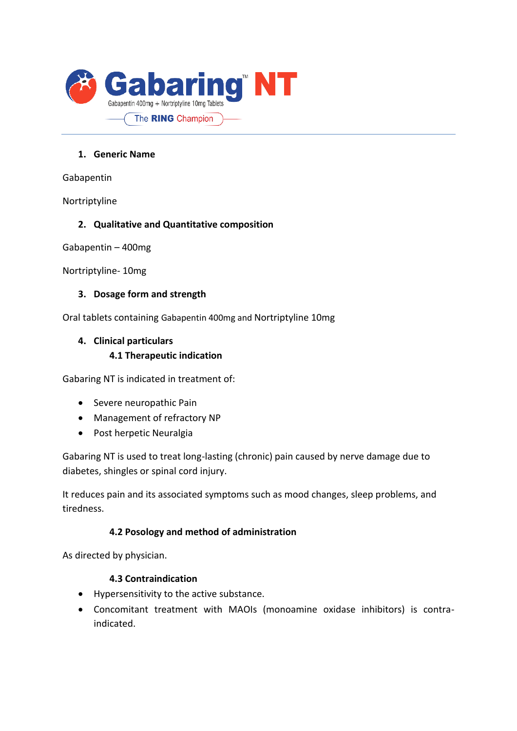

### **1. Generic Name**

Gabapentin

Nortriptyline

### **2. Qualitative and Quantitative composition**

Gabapentin – 400mg

Nortriptyline- 10mg

#### **3. Dosage form and strength**

Oral tablets containing Gabapentin 400mg and Nortriptyline 10mg

# **4. Clinical particulars 4.1 Therapeutic indication**

Gabaring NT is indicated in treatment of:

- Severe neuropathic Pain
- Management of refractory NP
- Post herpetic Neuralgia

Gabaring NT is used to treat long-lasting (chronic) pain caused by nerve damage due to diabetes, shingles or spinal cord injury.

It reduces pain and its associated symptoms such as mood changes, sleep problems, and tiredness.

# **4.2 Posology and method of administration**

As directed by physician.

#### **4.3 Contraindication**

- Hypersensitivity to the active substance.
- Concomitant treatment with MAOIs (monoamine oxidase inhibitors) is contraindicated.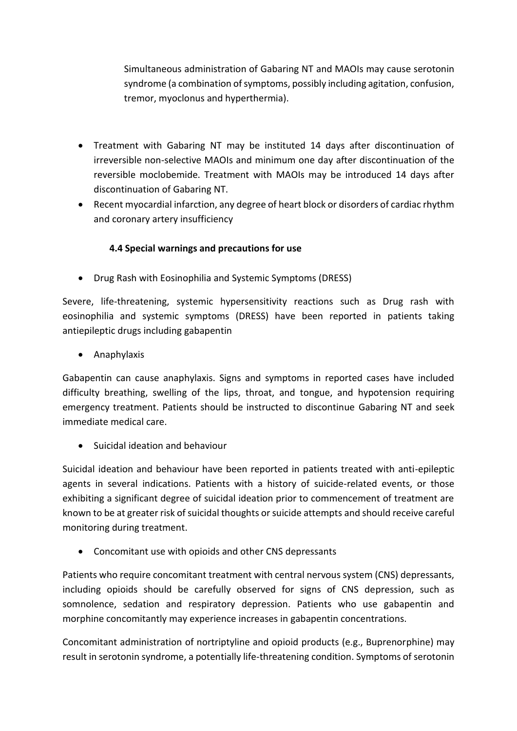Simultaneous administration of Gabaring NT and MAOIs may cause serotonin syndrome (a combination of symptoms, possibly including agitation, confusion, tremor, myoclonus and hyperthermia).

- Treatment with Gabaring NT may be instituted 14 days after discontinuation of irreversible non-selective MAOIs and minimum one day after discontinuation of the reversible moclobemide. Treatment with MAOIs may be introduced 14 days after discontinuation of Gabaring NT.
- Recent myocardial infarction, any degree of heart block or disorders of cardiac rhythm and coronary artery insufficiency

# **4.4 Special warnings and precautions for use**

• Drug Rash with Eosinophilia and Systemic Symptoms (DRESS)

Severe, life-threatening, systemic hypersensitivity reactions such as Drug rash with eosinophilia and systemic symptoms (DRESS) have been reported in patients taking antiepileptic drugs including gabapentin

• Anaphylaxis

Gabapentin can cause anaphylaxis. Signs and symptoms in reported cases have included difficulty breathing, swelling of the lips, throat, and tongue, and hypotension requiring emergency treatment. Patients should be instructed to discontinue Gabaring NT and seek immediate medical care.

• Suicidal ideation and behaviour

Suicidal ideation and behaviour have been reported in patients treated with anti-epileptic agents in several indications. Patients with a history of suicide-related events, or those exhibiting a significant degree of suicidal ideation prior to commencement of treatment are known to be at greater risk of suicidal thoughts or suicide attempts and should receive careful monitoring during treatment.

• Concomitant use with opioids and other CNS depressants

Patients who require concomitant treatment with central nervous system (CNS) depressants, including opioids should be carefully observed for signs of CNS depression, such as somnolence, sedation and respiratory depression. Patients who use gabapentin and morphine concomitantly may experience increases in gabapentin concentrations.

Concomitant administration of nortriptyline and opioid products (e.g., Buprenorphine) may result in serotonin syndrome, a potentially life-threatening condition. Symptoms of serotonin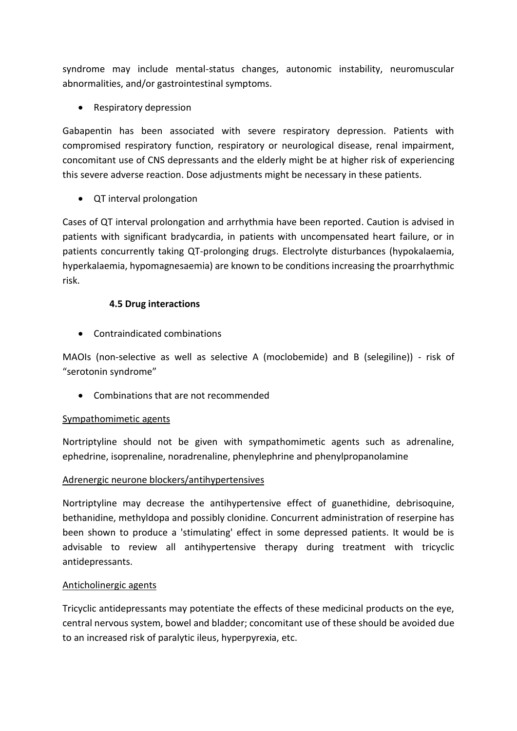syndrome may include mental-status changes, autonomic instability, neuromuscular abnormalities, and/or gastrointestinal symptoms.

• Respiratory depression

Gabapentin has been associated with severe respiratory depression. Patients with compromised respiratory function, respiratory or neurological disease, renal impairment, concomitant use of CNS depressants and the elderly might be at higher risk of experiencing this severe adverse reaction. Dose adjustments might be necessary in these patients.

• QT interval prolongation

Cases of QT interval prolongation and arrhythmia have been reported. Caution is advised in patients with significant bradycardia, in patients with uncompensated heart failure, or in patients concurrently taking QT-prolonging drugs. Electrolyte disturbances (hypokalaemia, hyperkalaemia, hypomagnesaemia) are known to be conditions increasing the proarrhythmic risk.

# **4.5 Drug interactions**

• Contraindicated combinations

MAOIs (non-selective as well as selective A (moclobemide) and B (selegiline)) - risk of "serotonin syndrome"

• Combinations that are not recommended

#### Sympathomimetic agents

Nortriptyline should not be given with sympathomimetic agents such as adrenaline, ephedrine, isoprenaline, noradrenaline, phenylephrine and phenylpropanolamine

#### Adrenergic neurone blockers/antihypertensives

Nortriptyline may decrease the antihypertensive effect of guanethidine, debrisoquine, bethanidine, methyldopa and possibly clonidine. Concurrent administration of reserpine has been shown to produce a 'stimulating' effect in some depressed patients. It would be is advisable to review all antihypertensive therapy during treatment with tricyclic antidepressants.

#### Anticholinergic agents

Tricyclic antidepressants may potentiate the effects of these medicinal products on the eye, central nervous system, bowel and bladder; concomitant use of these should be avoided due to an increased risk of paralytic ileus, hyperpyrexia, etc.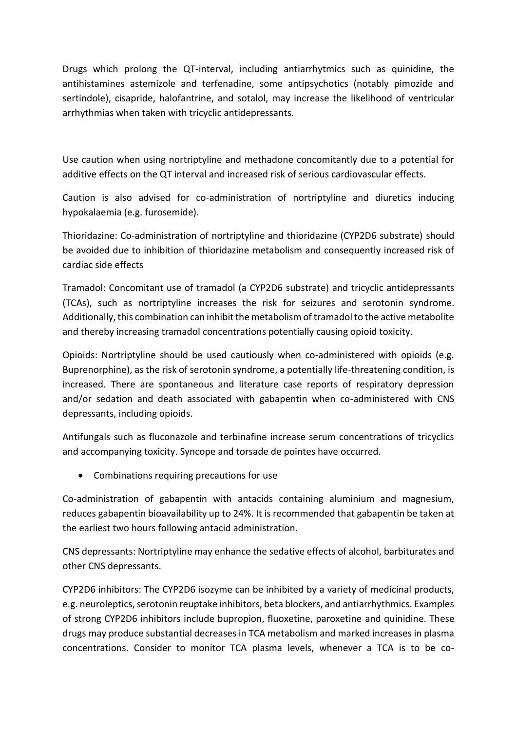Drugs which prolong the QT-interval, including antiarrhytmics such as quinidine, the antihistamines astemizole and terfenadine, some antipsychotics (notably pimozide and sertindole), cisapride, halofantrine, and sotalol, may increase the likelihood of ventricular arrhythmias when taken with tricyclic antidepressants.

Use caution when using nortriptyline and methadone concomitantly due to a potential for additive effects on the QT interval and increased risk of serious cardiovascular effects.

Caution is also advised for co-administration of nortriptyline and diuretics inducing hypokalaemia (e.g. furosemide).

Thioridazine: Co-administration of nortriptyline and thioridazine (CYP2D6 substrate) should be avoided due to inhibition of thioridazine metabolism and consequently increased risk of cardiac side effects

Tramadol: Concomitant use of tramadol (a CYP2D6 substrate) and tricyclic antidepressants (TCAs), such as nortriptyline increases the risk for seizures and serotonin syndrome. Additionally, this combination can inhibit the metabolism of tramadol to the active metabolite and thereby increasing tramadol concentrations potentially causing opioid toxicity.

Opioids: Nortriptyline should be used cautiously when co-administered with opioids (e.g. Buprenorphine), as the risk of serotonin syndrome, a potentially life-threatening condition, is increased. There are spontaneous and literature case reports of respiratory depression and/or sedation and death associated with gabapentin when co-administered with CNS depressants, including opioids.

Antifungals such as fluconazole and terbinafine increase serum concentrations of tricyclics and accompanying toxicity. Syncope and torsade de pointes have occurred.

• Combinations requiring precautions for use

Co-administration of gabapentin with antacids containing aluminium and magnesium, reduces gabapentin bioavailability up to 24%. It is recommended that gabapentin be taken at the earliest two hours following antacid administration.

CNS depressants: Nortriptyline may enhance the sedative effects of alcohol, barbiturates and other CNS depressants.

CYP2D6 inhibitors: The CYP2D6 isozyme can be inhibited by a variety of medicinal products, e.g. neuroleptics, serotonin reuptake inhibitors, beta blockers, and antiarrhythmics. Examples of strong CYP2D6 inhibitors include bupropion, fluoxetine, paroxetine and quinidine. These drugs may produce substantial decreases in TCA metabolism and marked increases in plasma concentrations. Consider to monitor TCA plasma levels, whenever a TCA is to be co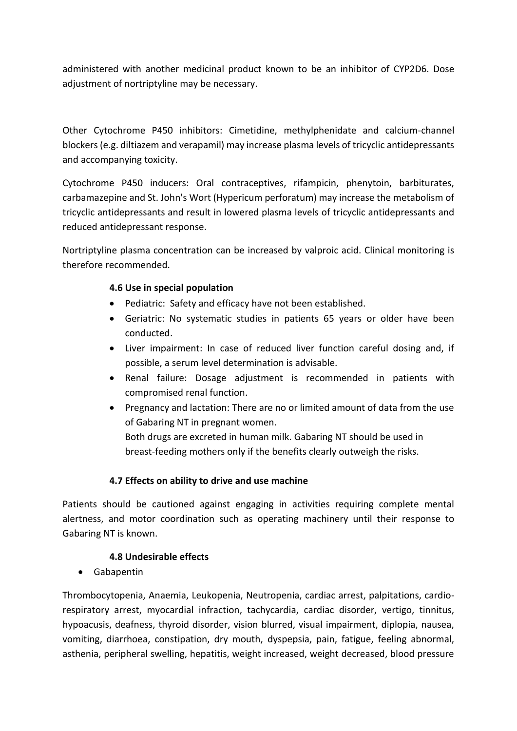administered with another medicinal product known to be an inhibitor of CYP2D6. Dose adjustment of nortriptyline may be necessary.

Other Cytochrome P450 inhibitors: Cimetidine, methylphenidate and calcium-channel blockers (e.g. diltiazem and verapamil) may increase plasma levels of tricyclic antidepressants and accompanying toxicity.

Cytochrome P450 inducers: Oral contraceptives, rifampicin, phenytoin, barbiturates, carbamazepine and St. John's Wort (Hypericum perforatum) may increase the metabolism of tricyclic antidepressants and result in lowered plasma levels of tricyclic antidepressants and reduced antidepressant response.

Nortriptyline plasma concentration can be increased by valproic acid. Clinical monitoring is therefore recommended.

# **4.6 Use in special population**

- Pediatric: Safety and efficacy have not been established.
- Geriatric: No systematic studies in patients 65 years or older have been conducted.
- Liver impairment: In case of reduced liver function careful dosing and, if possible, a serum level determination is advisable.
- Renal failure: Dosage adjustment is recommended in patients with compromised renal function.
- Pregnancy and lactation: There are no or limited amount of data from the use of Gabaring NT in pregnant women.

Both drugs are excreted in human milk. Gabaring NT should be used in breast-feeding mothers only if the benefits clearly outweigh the risks.

# **4.7 Effects on ability to drive and use machine**

Patients should be cautioned against engaging in activities requiring complete mental alertness, and motor coordination such as operating machinery until their response to Gabaring NT is known.

#### **4.8 Undesirable effects**

• Gabapentin

Thrombocytopenia, Anaemia, Leukopenia, Neutropenia, cardiac arrest, palpitations, cardiorespiratory arrest, myocardial infraction, tachycardia, cardiac disorder, vertigo, tinnitus, hypoacusis, deafness, thyroid disorder, vision blurred, visual impairment, diplopia, nausea, vomiting, diarrhoea, constipation, dry mouth, dyspepsia, pain, fatigue, feeling abnormal, asthenia, peripheral swelling, hepatitis, weight increased, weight decreased, blood pressure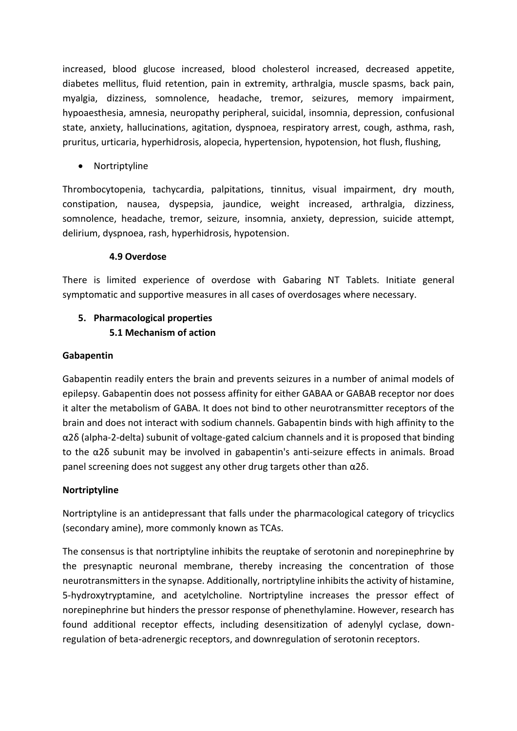increased, blood glucose increased, blood cholesterol increased, decreased appetite, diabetes mellitus, fluid retention, pain in extremity, arthralgia, muscle spasms, back pain, myalgia, dizziness, somnolence, headache, tremor, seizures, memory impairment, hypoaesthesia, amnesia, neuropathy peripheral, suicidal, insomnia, depression, confusional state, anxiety, hallucinations, agitation, dyspnoea, respiratory arrest, cough, asthma, rash, pruritus, urticaria, hyperhidrosis, alopecia, hypertension, hypotension, hot flush, flushing,

• Nortriptyline

Thrombocytopenia, tachycardia, palpitations, tinnitus, visual impairment, dry mouth, constipation, nausea, dyspepsia, jaundice, weight increased, arthralgia, dizziness, somnolence, headache, tremor, seizure, insomnia, anxiety, depression, suicide attempt, delirium, dyspnoea, rash, hyperhidrosis, hypotension.

# **4.9 Overdose**

There is limited experience of overdose with Gabaring NT Tablets. Initiate general symptomatic and supportive measures in all cases of overdosages where necessary.

# **5. Pharmacological properties 5.1 Mechanism of action**

# **Gabapentin**

Gabapentin readily enters the brain and prevents seizures in a number of animal models of epilepsy. Gabapentin does not possess affinity for either GABAA or GABAB receptor nor does it alter the metabolism of GABA. It does not bind to other neurotransmitter receptors of the brain and does not interact with sodium channels. Gabapentin binds with high affinity to the α2δ (alpha-2-delta) subunit of voltage-gated calcium channels and it is proposed that binding to the α2δ subunit may be involved in gabapentin's anti-seizure effects in animals. Broad panel screening does not suggest any other drug targets other than α2δ.

# **Nortriptyline**

Nortriptyline is an antidepressant that falls under the pharmacological category of tricyclics (secondary amine), more commonly known as TCAs.

The consensus is that nortriptyline inhibits the reuptake of serotonin and norepinephrine by the presynaptic neuronal membrane, thereby increasing the concentration of those neurotransmitters in the synapse. Additionally, nortriptyline inhibits the activity of histamine, 5-hydroxytryptamine, and acetylcholine. Nortriptyline increases the pressor effect of norepinephrine but hinders the pressor response of phenethylamine. However, research has found additional receptor effects, including desensitization of adenylyl cyclase, downregulation of beta-adrenergic receptors, and downregulation of serotonin receptors.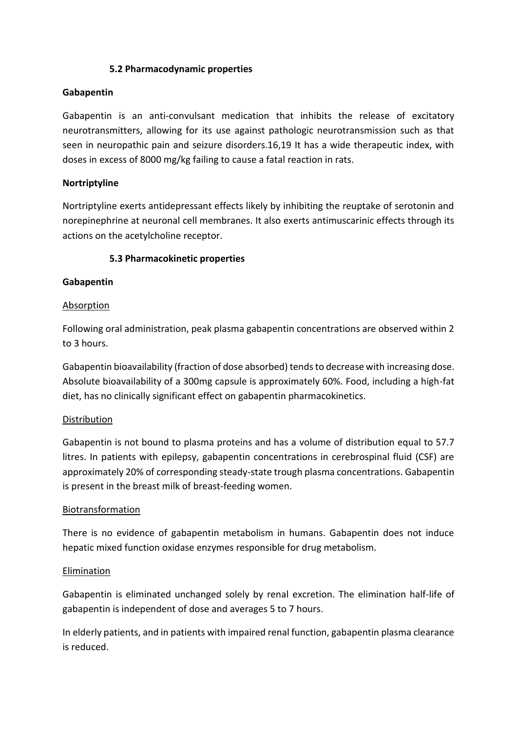### **5.2 Pharmacodynamic properties**

#### **Gabapentin**

Gabapentin is an anti-convulsant medication that inhibits the release of excitatory neurotransmitters, allowing for its use against pathologic neurotransmission such as that seen in neuropathic pain and seizure disorders.16,19 It has a wide therapeutic index, with doses in excess of 8000 mg/kg failing to cause a fatal reaction in rats.

### **Nortriptyline**

Nortriptyline exerts antidepressant effects likely by inhibiting the reuptake of serotonin and norepinephrine at neuronal cell membranes. It also exerts antimuscarinic effects through its actions on the acetylcholine receptor.

### **5.3 Pharmacokinetic properties**

### **Gabapentin**

#### Absorption

Following oral administration, peak plasma gabapentin concentrations are observed within 2 to 3 hours.

Gabapentin bioavailability (fraction of dose absorbed) tends to decrease with increasing dose. Absolute bioavailability of a 300mg capsule is approximately 60%. Food, including a high-fat diet, has no clinically significant effect on gabapentin pharmacokinetics.

#### **Distribution**

Gabapentin is not bound to plasma proteins and has a volume of distribution equal to 57.7 litres. In patients with epilepsy, gabapentin concentrations in cerebrospinal fluid (CSF) are approximately 20% of corresponding steady-state trough plasma concentrations. Gabapentin is present in the breast milk of breast-feeding women.

#### Biotransformation

There is no evidence of gabapentin metabolism in humans. Gabapentin does not induce hepatic mixed function oxidase enzymes responsible for drug metabolism.

#### Elimination

Gabapentin is eliminated unchanged solely by renal excretion. The elimination half-life of gabapentin is independent of dose and averages 5 to 7 hours.

In elderly patients, and in patients with impaired renal function, gabapentin plasma clearance is reduced.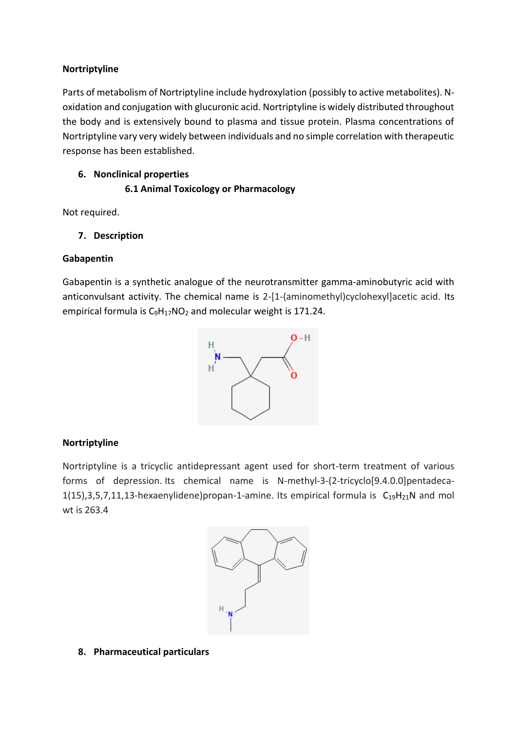### **Nortriptyline**

Parts of metabolism of Nortriptyline include hydroxylation (possibly to active metabolites). Noxidation and conjugation with glucuronic acid. Nortriptyline is widely distributed throughout the body and is extensively bound to plasma and tissue protein. Plasma concentrations of Nortriptyline vary very widely between individuals and no simple correlation with therapeutic response has been established.

# **6. Nonclinical properties**

# **6.1 Animal Toxicology or Pharmacology**

Not required.

# **7. Description**

# **Gabapentin**

Gabapentin is a synthetic analogue of the neurotransmitter gamma-aminobutyric acid with anticonvulsant activity. The chemical name is 2-[1-(aminomethyl)cyclohexyl]acetic acid. Its empirical formula is C<sub>9</sub>H<sub>17</sub>[NO](https://pubchem.ncbi.nlm.nih.gov/#query=C9H17NO2)<sub>2</sub> and molecular weight is 171.24.



# **Nortriptyline**

Nortriptyline is a tricyclic antidepressant agent used for short-term treatment of various forms of depression. Its chemical name is N-methyl-3-(2-tricyclo[9.4.0.0]pentadeca-1(15),3,5,7,11,13-hexaenylidene)propan-1-amine. Its empirical formula is  $C_{19}H_{21}N$  $C_{19}H_{21}N$  and mol wt is 263.4



#### **8. Pharmaceutical particulars**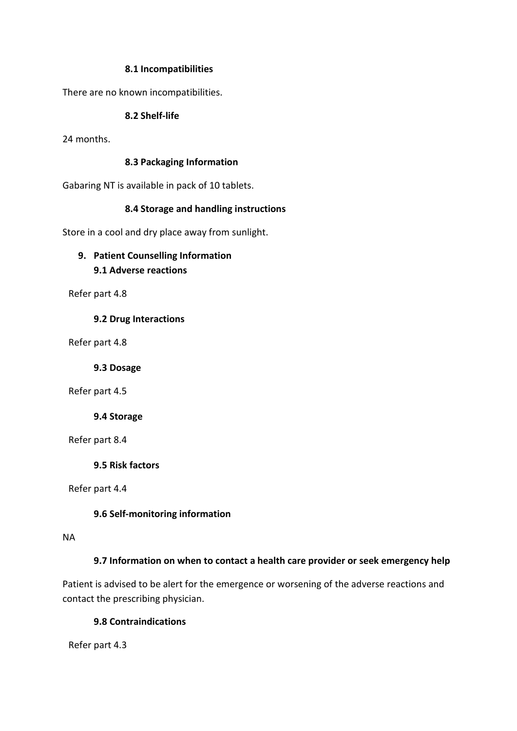#### **8.1 Incompatibilities**

There are no known incompatibilities.

# **8.2 Shelf-life**

24 months.

# **8.3 Packaging Information**

Gabaring NT is available in pack of 10 tablets.

# **8.4 Storage and handling instructions**

Store in a cool and dry place away from sunlight.

# **9. Patient Counselling Information 9.1 Adverse reactions**

Refer part 4.8

### **9.2 Drug Interactions**

Refer part 4.8

**9.3 Dosage**

Refer part 4.5

# **9.4 Storage**

Refer part 8.4

**9.5 Risk factors**

Refer part 4.4

# **9.6 Self-monitoring information**

#### NA

# **9.7 Information on when to contact a health care provider or seek emergency help**

Patient is advised to be alert for the emergence or worsening of the adverse reactions and contact the prescribing physician.

# **9.8 Contraindications**

Refer part 4.3